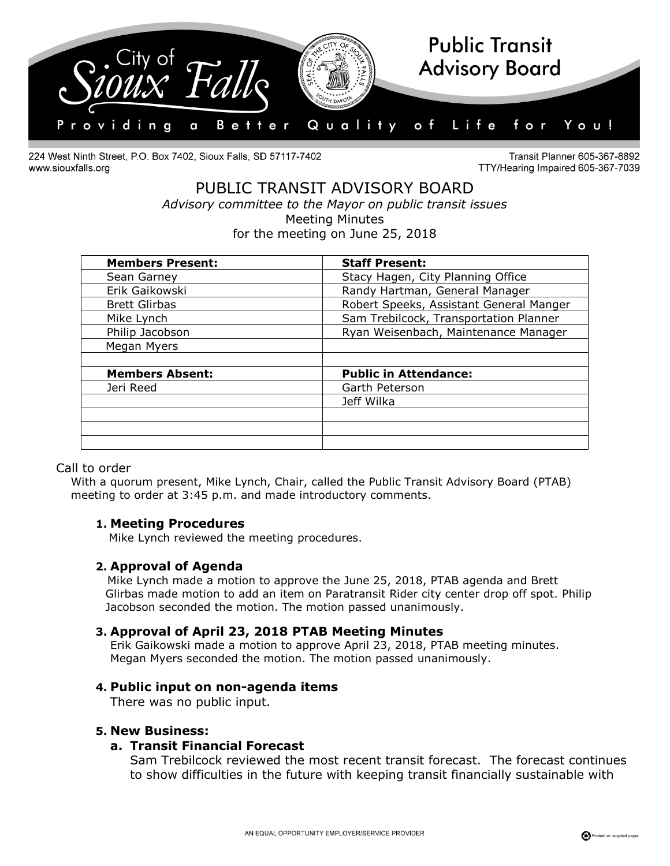

224 West Ninth Street, P.O. Box 7402, Sioux Falls, SD 57117-7402 www.siouxfalls.org

Transit Planner 605-367-8892 TTY/Hearing Impaired 605-367-7039

# PUBLIC TRANSIT ADVISORY BOARD *Advisory committee to the Mayor on public transit issues* Meeting Minutes

for the meeting on June 25, 2018

| <b>Members Present:</b> | <b>Staff Present:</b>                   |
|-------------------------|-----------------------------------------|
| Sean Garney             | Stacy Hagen, City Planning Office       |
| Erik Gaikowski          | Randy Hartman, General Manager          |
| <b>Brett Glirbas</b>    | Robert Speeks, Assistant General Manger |
| Mike Lynch              | Sam Trebilcock, Transportation Planner  |
| Philip Jacobson         | Ryan Weisenbach, Maintenance Manager    |
| Megan Myers             |                                         |
|                         |                                         |
| <b>Members Absent:</b>  | <b>Public in Attendance:</b>            |
| Jeri Reed               | Garth Peterson                          |
|                         | Jeff Wilka                              |
|                         |                                         |
|                         |                                         |
|                         |                                         |

# Call to order

With a quorum present, Mike Lynch, Chair, called the Public Transit Advisory Board (PTAB) meeting to order at 3:45 p.m. and made introductory comments.

# **1. Meeting Procedures**

Mike Lynch reviewed the meeting procedures.

# **2. Approval of Agenda**

 Mike Lynch made a motion to approve the June 25, 2018, PTAB agenda and Brett Glirbas made motion to add an item on Paratransit Rider city center drop off spot. Philip Jacobson seconded the motion. The motion passed unanimously.

# **3. Approval of April 23, 2018 PTAB Meeting Minutes**

Erik Gaikowski made a motion to approve April 23, 2018, PTAB meeting minutes. Megan Myers seconded the motion. The motion passed unanimously.

### **4. Public input on non-agenda items**

There was no public input.

### **5. New Business:**

### **a. Transit Financial Forecast**

Sam Trebilcock reviewed the most recent transit forecast. The forecast continues to show difficulties in the future with keeping transit financially sustainable with